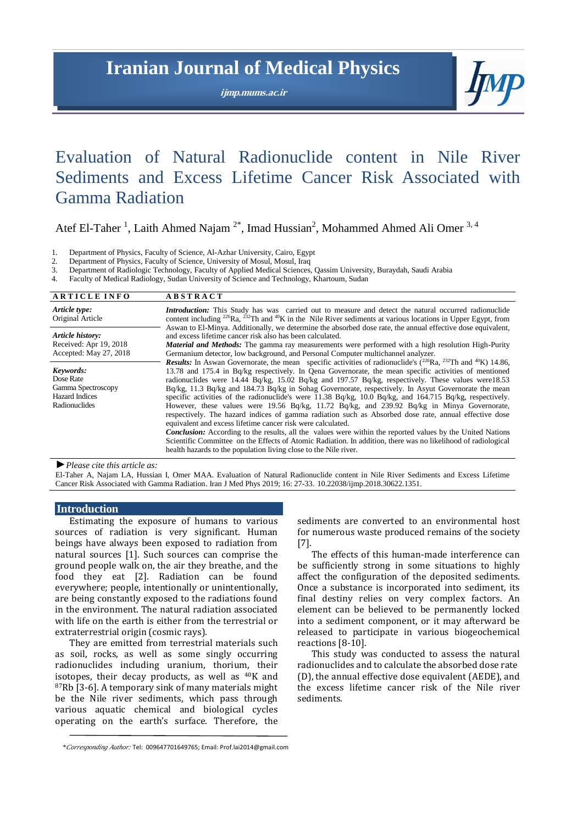# **Iranian Journal of Medical Physics**

**ijmp.mums.ac.ir**



# Evaluation of Natural Radionuclide content in Nile River Sediments and Excess Lifetime Cancer Risk Associated with Gamma Radiation

Atef El-Taher<sup>1</sup>, Laith Ahmed Najam<sup>2\*</sup>, Imad Hussian<sup>2</sup>, Mohammed Ahmed Ali Omer<sup>3,4</sup>

1. Department of Physics, Faculty of Science, Al-Azhar University, Cairo, Egypt 2. Department of Physics. Faculty of Science. University of Mosul. Mosul. Iraq

- Department of Physics, Faculty of Science, University of Mosul, Mosul, Iraq
- 3. Department of Radiologic Technology, Faculty of Applied Medical Sciences, Qassim University, Buraydah, Saudi Arabia
- 4. Faculty of Medical Radiology, Sudan University of Science and Technology, Khartoum, Sudan

| <b>ARTICLE INFO</b>                                                                    | <b>ABSTRACT</b>                                                                                                                                                                                                                                                                                                                                                                                                                                                                                                                                                                                                                                                                                                                                                                                                                                                                                                                                                                                                                                                                                                                                                   |  |  |
|----------------------------------------------------------------------------------------|-------------------------------------------------------------------------------------------------------------------------------------------------------------------------------------------------------------------------------------------------------------------------------------------------------------------------------------------------------------------------------------------------------------------------------------------------------------------------------------------------------------------------------------------------------------------------------------------------------------------------------------------------------------------------------------------------------------------------------------------------------------------------------------------------------------------------------------------------------------------------------------------------------------------------------------------------------------------------------------------------------------------------------------------------------------------------------------------------------------------------------------------------------------------|--|--|
| Article type:<br>Original Article                                                      | <b>Introduction:</b> This Study has was carried out to measure and detect the natural occurred radionuclide<br>content including <sup>226</sup> Ra, <sup>232</sup> Th and <sup>40</sup> K in the Nile River sediments at various locations in Upper Egypt, from                                                                                                                                                                                                                                                                                                                                                                                                                                                                                                                                                                                                                                                                                                                                                                                                                                                                                                   |  |  |
| Article history:<br>Received: Apr 19, 2018<br>Accepted: May 27, 2018                   | Aswan to El-Minya. Additionally, we determine the absorbed dose rate, the annual effective dose equivalent,<br>and excess lifetime cancer risk also has been calculated.<br><b>Material and Methods:</b> The gamma ray measurements were performed with a high resolution High-Purity<br>Germanium detector, low background, and Personal Computer multichannel analyzer.                                                                                                                                                                                                                                                                                                                                                                                                                                                                                                                                                                                                                                                                                                                                                                                         |  |  |
| Keywords:<br>Dose Rate<br>Gamma Spectroscopy<br><b>Hazard Indices</b><br>Radionuclides | <b>Results:</b> In Aswan Governorate, the mean specific activities of radionuclide's $(^{226}Ra, ^{232}Th$ and <sup>40</sup> K) 14.86,<br>13.78 and 175.4 in Bq/kg respectively. In Oena Governorate, the mean specific activities of mentioned<br>radionuclides were 14.44 Bq/kg, 15.02 Bq/kg and 197.57 Bq/kg, respectively. These values were18.53<br>$Bq/kg$ , 11.3 $Bq/kg$ and 184.73 $Bq/kg$ in Sohag Governorate, respectively. In Asyut Governorate the mean<br>specific activities of the radionuclide's were 11.38 Bq/kg, 10.0 Bq/kg, and 164.715 Bq/kg, respectively.<br>However, these values were 19.56 Bq/kg, 11.72 Bq/kg, and 239.92 Bq/kg in Minya Governorate,<br>respectively. The hazard indices of gamma radiation such as Absorbed dose rate, annual effective dose<br>equivalent and excess lifetime cancer risk were calculated.<br><b>Conclusion:</b> According to the results, all the values were within the reported values by the United Nations<br>Scientific Committee on the Effects of Atomic Radiation. In addition, there was no likelihood of radiological<br>health hazards to the population living close to the Nile river. |  |  |

*►Please cite this article as:*

El-Taher A, Najam LA, Hussian I, Omer MAA. Evaluation of Natural Radionuclide content in Nile River Sediments and Excess Lifetime Cancer Risk Associated with Gamma Radiation. Iran J Med Phys 2019; 16: 27-33. 10.22038/ijmp.2018.30622.1351.

# **Introduction**

Estimating the exposure of humans to various sources of radiation is very significant. Human beings have always been exposed to radiation from natural sources [1]. Such sources can comprise the ground people walk on, the air they breathe, and the food they eat [2]. Radiation can be found everywhere; people, intentionally or unintentionally, are being constantly exposed to the radiations found in the environment. The natural radiation associated with life on the earth is either from the terrestrial or extraterrestrial origin (cosmic rays).

They are emitted from terrestrial materials such as soil, rocks, as well as some singly occurring radionuclides including uranium, thorium, their isotopes, their decay products, as well as 40K and <sup>87</sup>Rb [3-6]. A temporary sink of many materials might be the Nile river sediments, which pass through various aquatic chemical and biological cycles operating on the earth's surface. Therefore, the

The effects of this human-made interference can be sufficiently strong in some situations to highly affect the configuration of the deposited sediments. Once a substance is incorporated into sediment, its final destiny relies on very complex factors. An element can be believed to be permanently locked into a sediment component, or it may afterward be released to participate in various biogeochemical reactions [8-10].

This study was conducted to assess the natural radionuclides and to calculate the absorbed dose rate (D), the annual effective dose equivalent (AEDE), and the excess lifetime cancer risk of the Nile river sediments.

sediments are converted to an environmental host for numerous waste produced remains of the society [7].

*<sup>\*</sup>Corresponding Author:* Tel: 009647701649765; Email: Prof.lai2014@gmail.com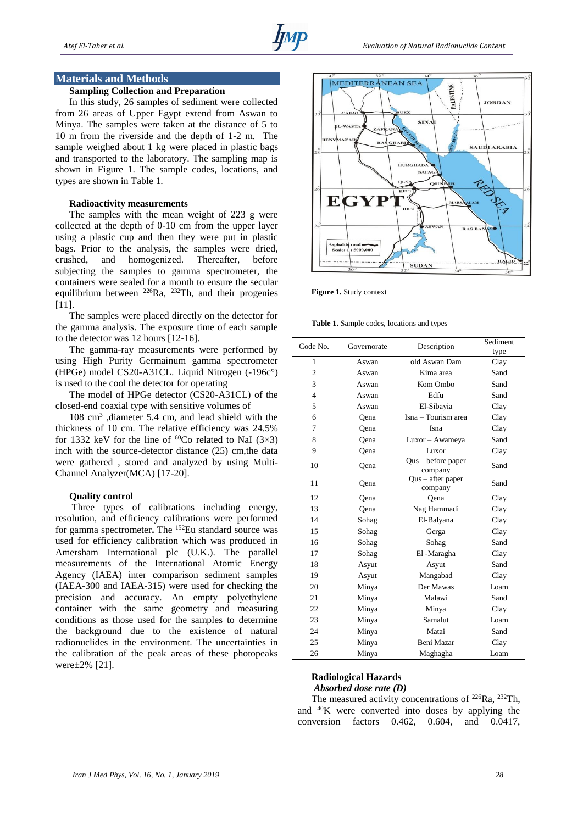#### **Materials and Methods**

## **Sampling Collection and Preparation**

In this study, 26 samples of sediment were collected from 26 areas of Upper Egypt extend from Aswan to Minya. The samples were taken at the distance of 5 to 10 m from the riverside and the depth of 1-2 m. The sample weighed about 1 kg were placed in plastic bags and transported to the laboratory. The sampling map is shown in Figure 1. The sample codes, locations, and types are shown in Table 1.

#### **Radioactivity measurements**

The samples with the mean weight of 223 g were collected at the depth of 0-10 cm from the upper layer using a plastic cup and then they were put in plastic bags. Prior to the analysis, the samples were dried, crushed, and homogenized. Thereafter, before subjecting the samples to gamma spectrometer, the containers were sealed for a month to ensure the secular equilibrium between  $^{226}Ra$ ,  $^{232}Th$ , and their progenies [11].

The samples were placed directly on the detector for the gamma analysis. The exposure time of each sample to the detector was 12 hours [12-16].

The gamma-ray measurements were performed by using High Purity Germainum gamma spectrometer (HPGe) model CS20-A31CL. Liquid Nitrogen (-196c°) is used to the cool the detector for operating

The model of HPGe detector (CS20-A31CL) of the closed-end coaxial type with sensitive volumes of

108 cm<sup>3</sup> ,diameter 5.4 cm, and lead shield with the thickness of 10 cm. The relative efficiency was 24.5% for 1332 keV for the line of  ${}^{60}Co$  related to NaI (3×3) inch with the source-detector distance (25) cm,the data were gathered , stored and analyzed by using Multi-Channel Analyzer(MCA) [17-20].

## **Quality control**

Three types of calibrations including energy, resolution, and efficiency calibrations were performed for gamma spectrometer. The <sup>152</sup>Eu standard source was used for efficiency calibration which was produced in Amersham International plc (U.K.). The parallel measurements of the International Atomic Energy Agency (IAEA) inter comparison sediment samples (IAEA-300 and IAEA-315) were used for checking the precision and accuracy. An empty polyethylene container with the same geometry and measuring conditions as those used for the samples to determine the background due to the existence of natural radionuclides in the environment. The uncertainties in the calibration of the peak areas of these photopeaks were±2% [21].



**Figure 1.** Study context

**Table 1.** Sample codes, locations and types

| Code No.       | Governorate | Description                   | Sediment<br>type |
|----------------|-------------|-------------------------------|------------------|
| 1              | Aswan       | old Aswan Dam                 | Clay             |
| $\overline{c}$ | Aswan       | Kima area                     | Sand             |
| 3              | Aswan       | Kom Ombo                      | Sand             |
| $\overline{4}$ | Aswan       | Edfu                          | Sand             |
| 5              | Aswan       | El-Sibayia                    | Clay             |
| 6              | Oena        | Isna – Tourism area           | Clay             |
| 7              | Qena        | Isna                          | Clay             |
| 8              | Oena        | Luxor - Awameya               | Sand             |
| 9              | Qena        | Luxor                         | Clay             |
| 10             | Qena        | Qus - before paper<br>company | Sand             |
| 11             | Qena        | Qus - after paper<br>company  | Sand             |
| 12             | Oena        | Oena                          | Clay             |
| 13             | Qena        | Nag Hammadi                   | Clay             |
| 14             | Sohag       | El-Balyana                    | Clay             |
| 15             | Sohag       | Gerga                         | Clay             |
| 16             | Sohag       | Sohag                         | Sand             |
| 17             | Sohag       | El-Maragha                    | Clay             |
| 18             | Asyut       | Asyut                         | Sand             |
| 19             | Asyut       | Mangabad                      | Clay             |
| 20             | Minya       | Der Mawas                     | Loam             |
| 21             | Minya       | Malawi                        | Sand             |
| 22             | Minya       | Minya                         | Clay             |
| 23             | Minya       | Samalut                       | Loam             |
| 24             | Minya       | Matai                         | Sand             |
| 25             | Minya       | Beni Mazar                    | Clay             |
| 26             | Minya       | Maghagha                      | Loam             |

# **Radiological Hazards** *Absorbed dose rate (D)*

The measured activity concentrations of  $226Ra$ ,  $232Th$ , and <sup>40</sup>K were converted into doses by applying the conversion factors 0.462, 0.604, and 0.0417,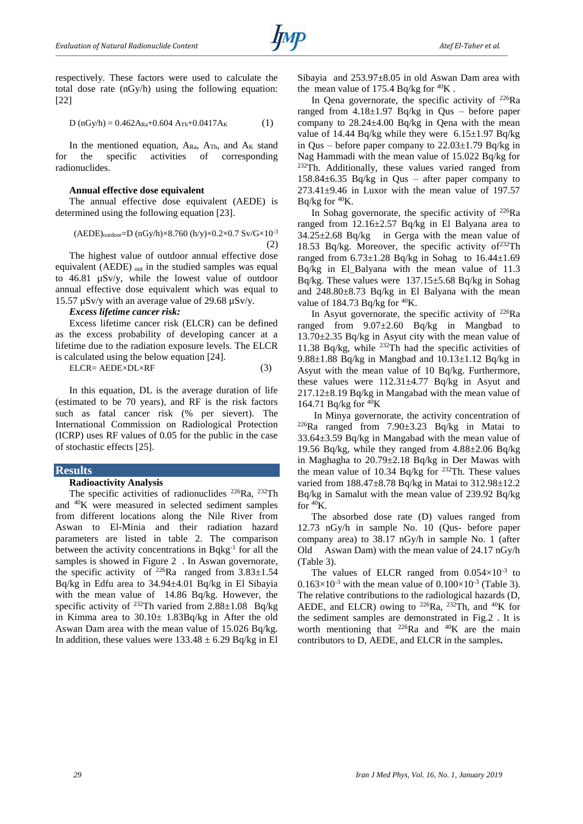

respectively. These factors were used to calculate the total dose rate (nGy/h) using the following equation: [22]

$$
D (nGy/h) = 0.462A_{Ra} + 0.604 A_{Th} + 0.0417A_K
$$
 (1)

In the mentioned equation,  $A_{Ra}$ ,  $A_{Th}$ , and  $A_K$  stand for the specific activities of corresponding radionuclides.

#### **Annual effective dose equivalent**

The annual effective dose equivalent (AEDE) is determined using the following equation [23].

$$
(AEDE)_{outdoor} = D (nGy/h) \times 8.760 (h/y) \times 0.2 \times 0.7 Sv/G \times 10^{-3}
$$
\n(2)

The highest value of outdoor annual effective dose equivalent (AEDE) out in the studied samples was equal to 46.81 µSv/y, while the lowest value of outdoor annual effective dose equivalent which was equal to 15.57 µSv/y with an average value of 29.68 µSv/y.

#### *Excess lifetime cancer risk:*

Excess lifetime cancer risk (ELCR) can be defined as the excess probability of developing cancer at a lifetime due to the radiation exposure levels. The ELCR is calculated using the below equation [24].

$$
ELCR = AEDE \times DL \times RF
$$
 (3)

In this equation, DL is the average duration of life (estimated to be 70 years), and RF is the risk factors such as fatal cancer risk (% per sievert). The International Commission on Radiological Protection (ICRP) uses RF values of 0.05 for the public in the case of stochastic effects [25].

## **Results**

### **Radioactivity Analysis**

The specific activities of radionuclides <sup>226</sup>Ra, <sup>232</sup>Th and <sup>40</sup>K were measured in selected sediment samples from different locations along the Nile River from Aswan to El-Minia and their radiation hazard parameters are listed in table 2. The comparison between the activity concentrations in Bqkg<sup>-1</sup> for all the samples is showed in Figure 2 . In Aswan governorate, the specific activity of <sup>226</sup>Ra ranged from  $3.83\pm1.54$ Bq/kg in Edfu area to 34.94±4.01 Bq/kg in El Sibayia with the mean value of 14.86 Bq/kg. However, the specific activity of <sup>232</sup>Th varied from  $2.88 \pm 1.08$  Bq/kg in Kimma area to 30.10± 1.83Bq/kg in After the old Aswan Dam area with the mean value of 15.026 Bq/kg. In addition, these values were  $133.48 \pm 6.29$  Bq/kg in El

Sibayia and  $253.97 \pm 8.05$  in old Aswan Dam area with the mean value of 175.4 Bq/kg for  $^{40}$ K.

In Qena governorate, the specific activity of <sup>226</sup>Ra ranged from  $4.18 \pm 1.97$  Bq/kg in Qus – before paper company to 28.24±4.00 Bq/kg in Qena with the mean value of 14.44 Bq/kg while they were  $6.15\pm1.97$  Bq/kg in Qus – before paper company to  $22.03 \pm 1.79$  Bq/kg in Nag Hammadi with the mean value of 15.022 Bq/kg for  $232$ Th. Additionally, these values varied ranged from 158.84 $\pm$ 6.35 Bq/kg in Qus – after paper company to  $273.41\pm9.46$  in Luxor with the mean value of 197.57 Bq/kg for <sup>40</sup>K.

In Sohag governorate, the specific activity of  $^{226}Ra$ ranged from 12.16±2.57 Bq/kg in El Balyana area to  $34.25 \pm 2.68$  Bq/kg in Gerga with the mean value of 18.53 Bq/kg. Moreover, the specific activity of  $232$ Th ranged from  $6.73\pm1.28$  Bq/kg in Sohag to  $16.44\pm1.69$ Bq/kg in El\_Balyana with the mean value of 11.3 Bq/kg. These values were 137.15±5.68 Bq/kg in Sohag and 248.80±8.73 Bq/kg in El Balyana with the mean value of 184.73 Bq/kg for  ${}^{40}$ K.

In Asyut governorate, the specific activity of  $226Ra$ ranged from 9.07±2.60 Bq/kg in Mangbad to 13.70±2.35 Bq/kg in Asyut city with the mean value of 11.38 Bq/kg, while  $^{232}$ Th had the specific activities of 9.88 $\pm$ 1.88 Bq/kg in Mangbad and 10.13 $\pm$ 1.12 Bq/kg in Asyut with the mean value of 10 Bq/kg. Furthermore, these values were  $112.31 \pm 4.77$  Bq/kg in Asyut and 217.12±8.19 Bq/kg in Mangabad with the mean value of 164.71 Bq/kg for  ${}^{40}$ K

In Minya governorate, the activity concentration of <sup>226</sup>Ra ranged from 7.90±3.23 Bq/kg in Matai to 33.64±3.59 Bq/kg in Mangabad with the mean value of 19.56 Bq/kg, while they ranged from 4.88±2.06 Bq/kg in Maghagha to 20.79±2.18 Bq/kg in Der Mawas with the mean value of 10.34 Bq/kg for  $^{232}$ Th. These values varied from 188.47±8.78 Bq/kg in Matai to 312.98±12.2 Bq/kg in Samalut with the mean value of 239.92 Bq/kg for  ${}^{40}$ K.

The absorbed dose rate (D) values ranged from 12.73 nGy/h in sample No. 10 (Qus- before paper company area) to 38.17 nGy/h in sample No. 1 (after Old Aswan Dam) with the mean value of 24.17 nGy/h (Table 3).

The values of ELCR ranged from  $0.054 \times 10^{-3}$  to  $0.163\times10^{-3}$  with the mean value of  $0.100\times10^{-3}$  (Table 3). The relative contributions to the radiological hazards (D, AEDE, and ELCR) owing to <sup>226</sup>Ra, <sup>232</sup>Th, and <sup>40</sup>K for the sediment samples are demonstrated in Fig.2 . It is worth mentioning that  $^{226}Ra$  and  $^{40}K$  are the main contributors to D, AEDE, and ELCR in the samples**.**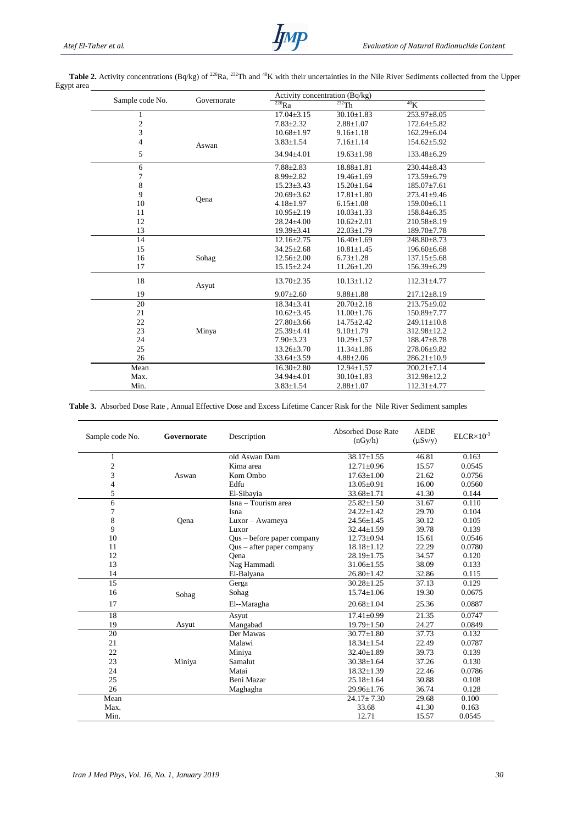|                 | Governorate | Activity concentration (Bq/kg) |                  |                   |
|-----------------|-------------|--------------------------------|------------------|-------------------|
| Sample code No. |             | $\overline{^{226}}Ra$          | $232$ Th         | 40 <sub>K</sub>   |
| 1               |             | $17.04 \pm 3.15$               | $30.10 \pm 1.83$ | 253.97±8.05       |
|                 |             | $7.83 \pm 2.32$                | $2.88 \pm 1.07$  | $172.64 \pm 5.82$ |
| $\frac{2}{3}$   |             | $10.68 \pm 1.97$               | $9.16 \pm 1.18$  | 162.29±6.04       |
| $\overline{4}$  | Aswan       | $3.83 \pm 1.54$                | $7.16 \pm 1.14$  | $154.62 \pm 5.92$ |
| 5               |             | $34.94 \pm 4.01$               | $19.63 \pm 1.98$ | 133.48±6.29       |
| $\sqrt{6}$      |             | $7.88 \pm 2.83$                | $18.88 \pm 1.81$ | 230.44±8.43       |
| 7               |             | $8.99 \pm 2.82$                | $19.46 \pm 1.69$ | $173.59 \pm 6.79$ |
| $\,8\,$         |             | $15.23 \pm 3.43$               | $15.20 \pm 1.64$ | $185.07 \pm 7.61$ |
| 9               |             | $20.69 \pm 3.62$               | $17.81 \pm 1.80$ | 273.41±9.46       |
| 10              | Qena        | $4.18 \pm 1.97$                | $6.15 \pm 1.08$  | $159.00\pm 6.11$  |
| 11              |             | $10.95 \pm 2.19$               | $10.03 \pm 1.33$ | $158.84 \pm 6.35$ |
| 12              |             | $28.24 \pm 4.00$               | $10.62{\pm}2.01$ | $210.58 \pm 8.19$ |
| 13              |             | $19.39 \pm 3.41$               | $22.03 \pm 1.79$ | 189.70±7.78       |
| 14              |             | $12.16 \pm 2.75$               | $16.40 + 1.69$   | $248.80 \pm 8.73$ |
| 15              |             | $34.25 \pm 2.68$               | $10.81 \pm 1.45$ | $196.60\pm 6.68$  |
| 16              | Sohag       | $12.56 \pm 2.00$               | $6.73 \pm 1.28$  | $137.15 \pm 5.68$ |
| 17              |             | $15.15 \pm 2.24$               | $11.26 \pm 1.20$ | 156.39±6.29       |
| 18              | Asyut       | $13.70 \pm 2.35$               | $10.13 \pm 1.12$ | 112.31±4.77       |
| 19              |             | $9.07 \pm 2.60$                | $9.88 \pm 1.88$  | $217.12 \pm 8.19$ |
| 20              |             | $18.34 \pm 3.41$               | $20.70 \pm 2.18$ | $213.75 \pm 9.02$ |
| 21              |             | $10.62 \pm 3.45$               | $11.00 \pm 1.76$ | $150.89 \pm 7.77$ |
| 22              |             | $27.80 \pm 3.66$               | $14.75 \pm 2.42$ | $249.11 \pm 10.8$ |
| 23              | Minya       | $25.39 + 4.41$                 | $9.10 \pm 1.79$  | 312.98±12.2       |
| 24              |             | $7.90 \pm 3.23$                | $10.29 \pm 1.57$ | 188.47±8.78       |
| 25              |             | $13.26 \pm 3.70$               | $11.34 \pm 1.86$ | 278.06±9.82       |
| 26              |             | $33.64 \pm 3.59$               | $4.88 \pm 2.06$  | $286.21 \pm 10.9$ |
| Mean            |             | $16.30 \pm 2.80$               | $12.94 \pm 1.57$ | $200.21 \pm 7.14$ |
| Max.            |             | $34.94 \pm 4.01$               | $30.10 \pm 1.83$ | 312.98±12.2       |
| Min.            |             | $3.83 \pm 1.54$                | $2.88 \pm 1.07$  | 112.31±4.77       |

Table 2. Activity concentrations (Bq/kg) of <sup>226</sup>Ra, <sup>232</sup>Th and <sup>40</sup>K with their uncertainties in the Nile River Sediments collected from the Upper Egypt area

## **Table 3.** Absorbed Dose Rate , Annual Effective Dose and Excess Lifetime Cancer Risk for the Nile River Sediment samples

| Sample code No. | Governorate | Description                 | <b>Absorbed Dose Rate</b><br>(nGy/h) | <b>AEDE</b><br>$(\mu Sv/y)$ | $ELCR \times 10^{-3}$ |
|-----------------|-------------|-----------------------------|--------------------------------------|-----------------------------|-----------------------|
| 1               |             | old Aswan Dam               | $38.17 + 1.55$                       | 46.81                       | 0.163                 |
| $\overline{c}$  |             | Kima area                   | $12.71 \pm 0.96$                     | 15.57                       | 0.0545                |
| 3               | Aswan       | Kom Ombo                    | $17.63 \pm 1.00$                     | 21.62                       | 0.0756                |
| 4               |             | Edfu                        | $13.05 + 0.91$                       | 16.00                       | 0.0560                |
| 5               |             | El-Sibayia                  | $33.68 \pm 1.71$                     | 41.30                       | 0.144                 |
| 6               |             | Isna – Tourism area         | $25.82 \pm 1.50$                     | 31.67                       | 0.110                 |
| 7               |             | Isna                        | $24.22 \pm 1.42$                     | 29.70                       | 0.104                 |
| 8               | Oena        | Luxor - Awameya             | $24.56 \pm 1.45$                     | 30.12                       | 0.105                 |
| 9               |             | Luxor                       | $32.44 \pm 1.59$                     | 39.78                       | 0.139                 |
| 10              |             | Qus – before paper company  | $12.73 \pm 0.94$                     | 15.61                       | 0.0546                |
| 11              |             | $Qus - after paper company$ | $18.18 \pm 1.12$                     | 22.29                       | 0.0780                |
| 12              |             | Oena                        | $28.19 \pm 1.75$                     | 34.57                       | 0.120                 |
| 13              |             | Nag Hammadi                 | $31.06 \pm 1.55$                     | 38.09                       | 0.133                 |
| 14              |             | El-Balyana                  | $26.80 \pm 1.42$                     | 32.86                       | 0.115                 |
| $\overline{15}$ |             | Gerga                       | $30.28 + 1.25$                       | 37.13                       | 0.129                 |
| 16              | Sohag       | Sohag                       | $15.74 \pm 1.06$                     | 19.30                       | 0.0675                |
| 17              |             | El--Maragha                 | $20.68 \pm 1.04$                     | 25.36                       | 0.0887                |
| 18              |             | Asyut                       | $17.41 \pm 0.99$                     | 21.35                       | 0.0747                |
| 19              | Asyut       | Mangabad                    | $19.79 \pm 1.50$                     | 24.27                       | 0.0849                |
| 20              |             | Der Mawas                   | $30.77 + 1.80$                       | 37.73                       | 0.132                 |
| 21              |             | Malawi                      | $18.34 \pm 1.54$                     | 22.49                       | 0.0787                |
| 22              |             | Miniya                      | $32.40 + 1.89$                       | 39.73                       | 0.139                 |
| 23              | Miniya      | Samalut                     | $30.38 \pm 1.64$                     | 37.26                       | 0.130                 |
| 24              |             | Matai                       | $18.32 + 1.39$                       | 22.46                       | 0.0786                |
| 25              |             | Beni Mazar                  | $25.18 + 1.64$                       | 30.88                       | 0.108                 |
| 26              |             | Maghagha                    | $29.96 \pm 1.76$                     | 36.74                       | 0.128                 |
| Mean            |             |                             | $24.17 \pm 7.30$                     | 29.68                       | 0.100                 |
| Max.            |             |                             | 33.68                                | 41.30                       | 0.163                 |
| Min.            |             |                             | 12.71                                | 15.57                       | 0.0545                |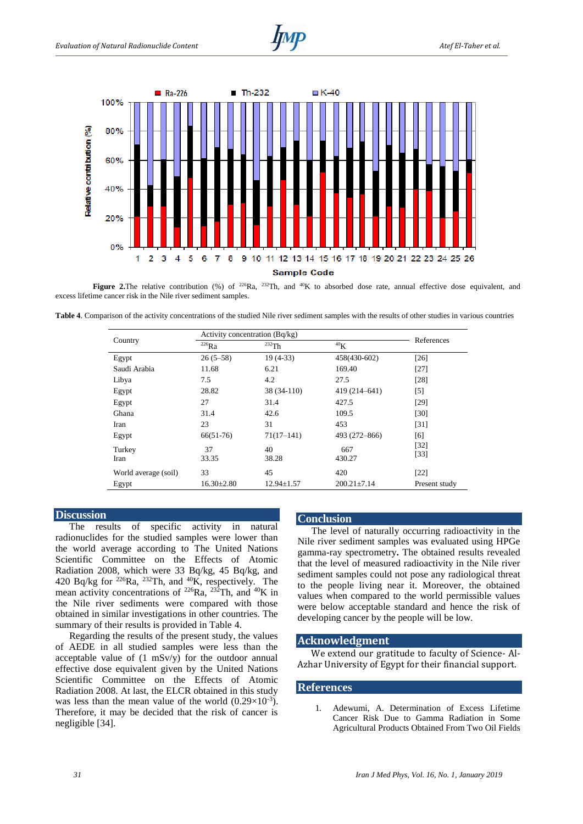



**Figure 2.** The relative contribution (%) of <sup>226</sup>Ra, <sup>232</sup>Th, and <sup>40</sup>K to absorbed dose rate, annual effective dose equivalent, and excess lifetime cancer risk in the Nile river sediment samples.

**Table 4**. Comparison of the activity concentrations of the studied Nile river sediment samples with the results of other studies in various countries

| Country              | Activity concentration (Bq/kg) |                  |                   |                  |  |
|----------------------|--------------------------------|------------------|-------------------|------------------|--|
|                      | $^{226}$ Ra                    | 232Th            | 40 <sub>K</sub>   | References       |  |
| Egypt                | $26(5-58)$                     | $19(4-33)$       | 458(430-602)      | $[26]$           |  |
| Saudi Arabia         | 11.68                          | 6.21             | 169.40            | $[27]$           |  |
| Libya                | 7.5                            | 4.2              | 27.5              | [28]             |  |
| Egypt                | 28.82                          | 38 (34-110)      | 419 (214-641)     | $[5]$            |  |
| Egypt                | 27                             | 31.4             | 427.5             | $[29]$           |  |
| Ghana                | 31.4                           | 42.6             | 109.5             | $[30]$           |  |
| Iran                 | 23                             | 31               | 453               | $[31]$           |  |
| Egypt                | $66(51-76)$                    | $71(17-141)$     | 493 (272-866)     | [6]              |  |
| Turkey<br>Iran       | 37<br>33.35                    | 40<br>38.28      | 667<br>430.27     | $[32]$<br>$[33]$ |  |
| World average (soil) | 33                             | 45               | 420               | $[22]$           |  |
| Egypt                | $16.30 \pm 2.80$               | $12.94 \pm 1.57$ | $200.21 \pm 7.14$ | Present study    |  |

## **Discussion**

The results of specific activity in natural radionuclides for the studied samples were lower than the world average according to The United Nations Scientific Committee on the Effects of Atomic Radiation 2008, which were 33 Bq/kg, 45 Bq/kg, and 420 Bq/kg for  $^{226}$ Ra,  $^{232}$ Th, and  $^{40}$ K, respectively. The mean activity concentrations of  $226Ra$ ,  $232Th$ , and  $40K$  in the Nile river sediments were compared with those obtained in similar investigations in other countries. The summary of their results is provided in Table 4.

Regarding the results of the present study, the values of AEDE in all studied samples were less than the acceptable value of (1 mSv/y) for the outdoor annual effective dose equivalent given by the United Nations Scientific Committee on the Effects of Atomic Radiation 2008. At last, the ELCR obtained in this study was less than the mean value of the world  $(0.29 \times 10^{-3})$ . Therefore, it may be decided that the risk of cancer is negligible [34].

# **Conclusion**

The level of naturally occurring radioactivity in the Nile river sediment samples was evaluated using HPGe gamma-ray spectrometry**.** The obtained results revealed that the level of measured radioactivity in the Nile river sediment samples could not pose any radiological threat to the people living near it. Moreover, the obtained values when compared to the world permissible values were below acceptable standard and hence the risk of developing cancer by the people will be low.

#### **Acknowledgment**

We extend our gratitude to faculty of Science- Al-Azhar University of Egypt for their financial support.

# **References**

1. Adewumi, A. Determination of Excess Lifetime Cancer Risk Due to Gamma Radiation in Some Agricultural Products Obtained From Two Oil Fields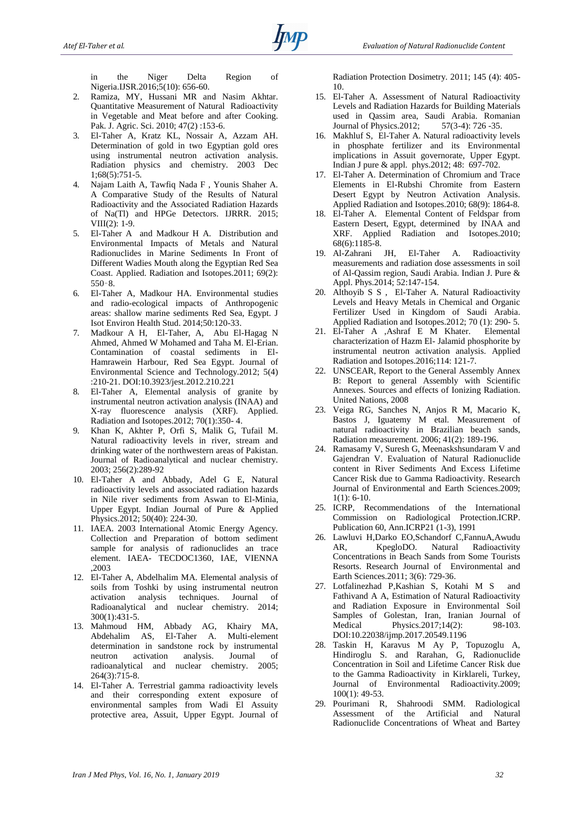in the Niger Delta Region of Nigeria.IJSR.2016;5(10): 656-60.

- 2. Ramiza, MY, Hussani MR and Nasim Akhtar. Quantitative Measurement of Natural Radioactivity in Vegetable and Meat before and after Cooking. Pak. J. Agric. Sci. 2010; 47(2) :153-6.
- 3. El-Taher A, Kratz KL, Nossair A, Azzam AH. Determination of gold in two Egyptian gold ores using instrumental neutron activation analysis. Radiation physics and chemistry. 2003 Dec 1;68(5):751-5.
- 4. Najam Laith A, Tawfiq Nada F , Younis Shaher A. A Comparative Study of the Results of Natural Radioactivity and the Associated Radiation Hazards of Na(Tl) and HPGe Detectors. IJRRR. 2015; VIII(2): 1-9.
- 5. El-Taher A and Madkour H A. Distribution and Environmental Impacts of Metals and Natural Radionuclides in Marine Sediments In Front of Different Wadies Mouth along the Egyptian Red Sea Coast. Applied. Radiation and Isotopes.2011; 69(2): 550–8.
- 6. El-Taher A, Madkour HA. Environmental studies and radio-ecological impacts of Anthropogenic areas: shallow marine sediments Red Sea, Egypt. J Isot Environ Health Stud. 2014;50:120-33.
- 7. Madkour A H, El-Taher, A, Abu El-Hagag N Ahmed, Ahmed W Mohamed and Taha M. El-Erian. Contamination of coastal sediments in El-Hamrawein Harbour, Red Sea Egypt. Journal of Environmental Science and Technology.2012; 5(4) :210-21. DOI:10.3923/jest.2012.210.221
- 8. El-Taher A, Elemental analysis of granite by instrumental neutron activation analysis (INAA) and X-ray fluorescence analysis (XRF). Applied. Radiation and Isotopes.2012; 70(1):350- 4.
- 9. Khan K, Akhter P, Orfi S, Malik G, Tufail M. Natural radioactivity levels in river, stream and drinking water of the northwestern areas of Pakistan. Journal of Radioanalytical and nuclear chemistry. 2003; 256(2):289-92
- 10. El-Taher A and Abbady, Adel G E, Natural radioactivity levels and associated radiation hazards in Nile river sediments from Aswan to El-Minia, Upper Egypt. Indian Journal of Pure & Applied Physics.2012; 50(40): 224-30.
- 11. IAEA. 2003 International Atomic Energy Agency. Collection and Preparation of bottom sediment sample for analysis of radionuclides an trace element. IAEA- TECDOC1360, IAE, VIENNA ,2003
- 12. El-Taher A, Abdelhalim MA. Elemental analysis of soils from Toshki by using instrumental neutron activation analysis techniques. Journal of Radioanalytical and nuclear chemistry. 2014; 300(1):431-5.
- 13. Mahmoud HM, Abbady AG, Khairy MA, Abdehalim AS, El-Taher A. Multi-element determination in sandstone rock by instrumental neutron activation analysis. Journal of radioanalytical and nuclear chemistry. 2005; 264(3):715-8.
- 14. El-Taher A. Terrestrial gamma radioactivity levels and their corresponding extent exposure of environmental samples from Wadi El Assuity protective area, Assuit, Upper Egypt. Journal of

Radiation Protection Dosimetry. 2011; 145 (4): 405- 10.

- 15. El-Taher A. Assessment of Natural Radioactivity Levels and Radiation Hazards for Building Materials used in Qassim area, Saudi Arabia. Romanian Journal of Physics.2012; 57(3-4): 726 -35.
- 16. Makhluf S, El-Taher A. Natural radioactivity levels in phosphate fertilizer and its Environmental implications in Assuit governorate, Upper Egypt. Indian J pure & appl. phys.2012; 48: 697-702.
- 17. El-Taher A. Determination of Chromium and Trace Elements in El-Rubshi Chromite from Eastern Desert Egypt by Neutron Activation Analysis. Applied Radiation and Isotopes.2010; 68(9): 1864-8.
- 18. El-Taher A. Elemental Content of Feldspar from Eastern Desert, Egypt, determined by INAA and XRF. Applied Radiation and Isotopes.2010; 68(6):1185-8.<br>19. Al-Zahrani JH,
- El-Taher A. Radioactivity measurements and radiation dose assessments in soil of Al-Qassim region, Saudi Arabia. Indian J. Pure & Appl. Phys.2014; 52:147-154.
- 20. Althoyib S S , El-Taher A. Natural Radioactivity Levels and Heavy Metals in Chemical and Organic Fertilizer Used in Kingdom of Saudi Arabia. Applied Radiation and Isotopes.2012; 70 (1): 290- 5.
- 21. El-Taher A ,Ashraf E M Khater. Elemental characterization of Hazm El- Jalamid phosphorite by instrumental neutron activation analysis. Applied Radiation and Isotopes.2016;114: 121-7.
- 22. UNSCEAR, Report to the General Assembly Annex B: Report to general Assembly with Scientific Annexes. Sources and effects of Ionizing Radiation. United Nations, 2008
- 23. Veiga RG, Sanches N, Anjos R M, Macario K, Bastos J, Iguatemy M etal. Measurement of natural radioactivity in Brazilian beach sands, Radiation measurement. 2006; 41(2): 189-196.
- 24. Ramasamy V, Suresh G, Meenaskshsundaram V and Gajendran V. Evaluation of Natural Radionuclide content in River Sediments And Excess Lifetime Cancer Risk due to Gamma Radioactivity. Research Journal of Environmental and Earth Sciences.2009;  $1(1)$ : 6-10.
- 25. ICRP, Recommendations of the International Commission on Radiological Protection.ICRP. Publication 60, Ann.ICRP21 (1-3), 1991
- 26. Lawluvi H,Darko EO,Schandorf C,FannuA,Awudu AR, KpegloDO. Natural Radioactivity Concentrations in Beach Sands from Some Tourists Resorts. Research Journal of Environmental and Earth Sciences.2011; 3(6): 729-36.
- 27. Lotfalinezhad P,Kashian S, Kotahi M S and Fathivand A A, Estimation of Natural Radioactivity and Radiation Exposure in Environmental Soil Samples of Golestan, Iran, Iranian Journal of Medical Physics.2017;14(2): 98-103. DOI:10.22038/ijmp.2017.20549.1196
- 28. Taskin H, Karavus M Ay P, Topuzoglu A, Hindiroglu S. and Rarahan, G, Radionuclide Concentration in Soil and Lifetime Cancer Risk due to the Gamma Radioactivity in Kirklareli, Turkey, Journal of Environmental Radioactivity.2009; 100(1): 49-53.
- 29. Pourimani R, Shahroodi SMM. Radiological Assessment of the Artificial and Natural Radionuclide Concentrations of Wheat and Bartey